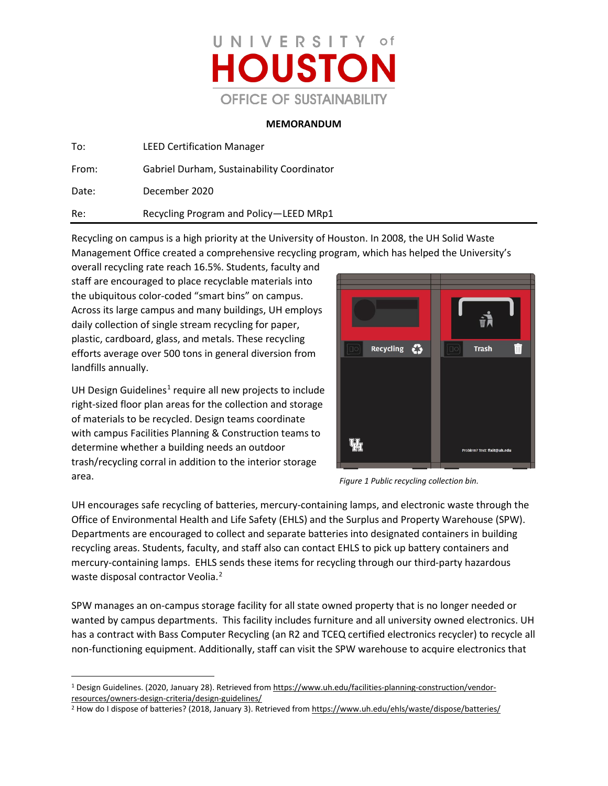

## **MEMORANDUM**

| To:   | <b>LEED Certification Manager</b>          |
|-------|--------------------------------------------|
| From: | Gabriel Durham, Sustainability Coordinator |
| Date: | December 2020                              |
| Re:   | Recycling Program and Policy-LEED MRp1     |

Recycling on campus is a high priority at the University of Houston. In 2008, the UH Solid Waste Management Office created a comprehensive recycling program, which has helped the University's

overall recycling rate reach 16.5%. Students, faculty and staff are encouraged to place recyclable materials into the ubiquitous color-coded "smart bins" on campus. Across its large campus and many buildings, UH employs daily collection of single stream recycling for paper, plastic, cardboard, glass, and metals. These recycling efforts average over 500 tons in general diversion from landfills annually.

UH Design Guidelines<sup>1</sup> require all new projects to include right-sized floor plan areas for the collection and storage of materials to be recycled. Design teams coordinate with campus Facilities Planning & Construction teams to determine whether a building needs an outdoor trash/recycling corral in addition to the interior storage area.



*Figure 1 Public recycling collection bin.*

UH encourages safe recycling of batteries, mercury-containing lamps, and electronic waste through the Office of Environmental Health and Life Safety (EHLS) and the Surplus and Property Warehouse (SPW). Departments are encouraged to collect and separate batteries into designated containers in building recycling areas. Students, faculty, and staff also can contact EHLS to pick up battery containers and mercury-containing lamps. EHLS sends these items for recycling through our third-party hazardous waste disposal contractor Veolia.<sup>[2](#page-0-1)</sup>

SPW manages an on-campus storage facility for all state owned property that is no longer needed or wanted by campus departments. This facility includes furniture and all university owned electronics. UH has a contract with Bass Computer Recycling (an R2 and TCEQ certified electronics recycler) to recycle all non-functioning equipment. Additionally, staff can visit the SPW warehouse to acquire electronics that

<span id="page-0-0"></span><sup>&</sup>lt;sup>1</sup> Design Guidelines. (2020, January 28). Retrieved fro[m https://www.uh.edu/facilities-planning-construction/vendor](https://www.uh.edu/facilities-planning-construction/vendor-resources/owners-design-criteria/design-guidelines/)[resources/owners-design-criteria/design-guidelines/](https://www.uh.edu/facilities-planning-construction/vendor-resources/owners-design-criteria/design-guidelines/)

<span id="page-0-1"></span><sup>&</sup>lt;sup>2</sup> How do I dispose of batteries? (2018, January 3). Retrieved fro[m https://www.uh.edu/ehls/waste/dispose/batteries/](https://www.uh.edu/ehls/waste/dispose/batteries/)